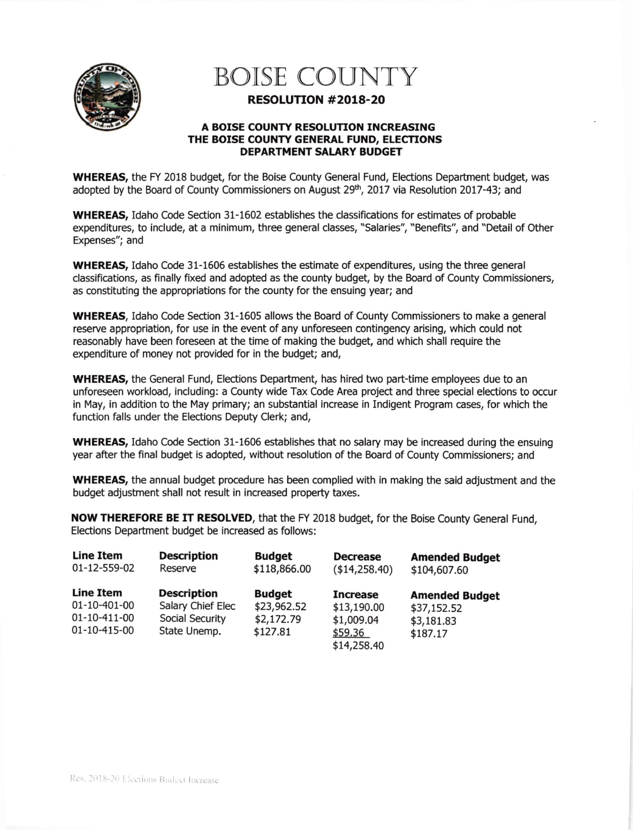

## BOISE COUNTY

## RESOLUTION #2018-20

## A BOISE COUNTY RESOLUTION INCREASING THE BOISE COUNTY GENERAL FUND, ELECTIONS DEPARTMENT SALARY BUDGET

WHEREAS, the FY 2018 budget, for the Boise County General Fund, Elections Department budget, was adopted by the Board of County Commissioners on August 29<sup>th</sup>, 2017 via Resolution 2017-43; and

WHEREAS, Idaho Code Section 31-1602 establishes the classifications for estimates of probable expenditures, to include, at a minimum, three general classes, "Salaries", "Benefits", and "Detail of Other Expenses"; and

WHEREAS, Idaho Code 31-1606 establishes the estimate of expenditures, using the three general classifications, as finally fixed and adopted as the county budget, by the Board of County Commissioners, as constituting the appropriations for the county for the ensuing year; and

WHEREAS, Idaho Code Section 31-1605 allows the Board of County Commissioners to make a general reserve appropriation, for use in the event of any unforeseen contingency arising, which could not reasonably have been foreseen at the time of making the budget, and which shall require the expenditure of money not provided for in the budget; and,

WHEREAS, the General Fund, Elections Department, has hired two part-time employees due to an unforeseen workload, including: a County wide Tax Code Area project and three special elections to occur in May, in addition to the May primary; an substantial increase in Indigent Program cases, for which the function falls under the Elections Deputy Clerk; and,

WHEREAS, Idaho Code Section 31-1606 establishes that no salary may be increased during the ensuing year after the final budget is adopted, without resolution of the Board of County Commissioners; and

WHEREAS, the annual budget procedure has been complied with in making the said adjustment and the budget adjustment shall not result in increased property taxes.

NOW THEREFORE BE IT RESOLVED, that the FY 2018 budget, for the Boise County General Fund, Elections Department budget be increased as follows:

| <b>Line Item</b>                                                 | <b>Description</b>                                                         | <b>Budget</b>                                          | <b>Decrease</b>                                                        | <b>Amended Budget</b>                                          |
|------------------------------------------------------------------|----------------------------------------------------------------------------|--------------------------------------------------------|------------------------------------------------------------------------|----------------------------------------------------------------|
| 01-12-559-02                                                     | Reserve                                                                    | \$118,866.00                                           | (\$14,258.40)                                                          | \$104,607.60                                                   |
| <b>Line Item</b><br>01-10-401-00<br>01-10-411-00<br>01-10-415-00 | <b>Description</b><br>Salary Chief Elec<br>Social Security<br>State Unemp. | <b>Budget</b><br>\$23,962.52<br>\$2,172.79<br>\$127.81 | <b>Increase</b><br>\$13,190.00<br>\$1,009.04<br>\$59.36<br>\$14,258.40 | <b>Amended Budget</b><br>\$37,152.52<br>\$3,181.83<br>\$187.17 |